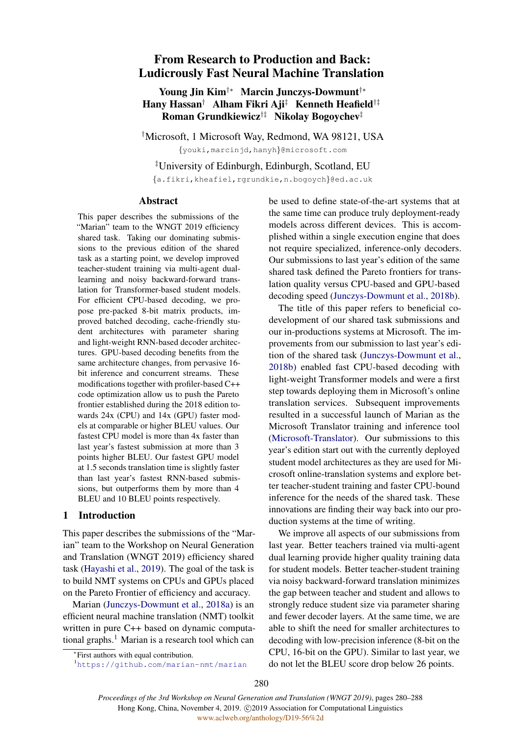# From Research to Production and Back: Ludicrously Fast Neural Machine Translation

## Young Jin Kim†∗ Marcin Junczys-Dowmunt†∗ Hany Hassan† Alham Fikri Aji‡ Kenneth Heafield†‡ Roman Grundkiewicz<sup>†‡</sup> Nikolay Bogoychev<sup>‡</sup>

†Microsoft, 1 Microsoft Way, Redmond, WA 98121, USA {youki,marcinjd,hanyh}@microsoft.com

‡University of Edinburgh, Edinburgh, Scotland, EU

{a.fikri,kheafiel,rgrundkie,n.bogoych}@ed.ac.uk

### Abstract

This paper describes the submissions of the "Marian" team to the WNGT 2019 efficiency shared task. Taking our dominating submissions to the previous edition of the shared task as a starting point, we develop improved teacher-student training via multi-agent duallearning and noisy backward-forward translation for Transformer-based student models. For efficient CPU-based decoding, we propose pre-packed 8-bit matrix products, improved batched decoding, cache-friendly student architectures with parameter sharing and light-weight RNN-based decoder architectures. GPU-based decoding benefits from the same architecture changes, from pervasive 16 bit inference and concurrent streams. These modifications together with profiler-based C++ code optimization allow us to push the Pareto frontier established during the 2018 edition towards 24x (CPU) and 14x (GPU) faster models at comparable or higher BLEU values. Our fastest CPU model is more than 4x faster than last year's fastest submission at more than 3 points higher BLEU. Our fastest GPU model at 1.5 seconds translation time is slightly faster than last year's fastest RNN-based submissions, but outperforms them by more than 4 BLEU and 10 BLEU points respectively.

### 1 Introduction

This paper describes the submissions of the "Marian" team to the Workshop on Neural Generation and Translation (WNGT 2019) efficiency shared task [\(Hayashi et al.,](#page-8-0) [2019\)](#page-8-0). The goal of the task is to build NMT systems on CPUs and GPUs placed on the Pareto Frontier of efficiency and accuracy.

Marian [\(Junczys-Dowmunt et al.,](#page-8-1) [2018a\)](#page-8-1) is an efficient neural machine translation (NMT) toolkit written in pure C++ based on dynamic computa-tional graphs.<sup>[1](#page-0-0)</sup> Marian is a research tool which can

The title of this paper refers to beneficial codevelopment of our shared task submissions and our in-productions systems at Microsoft. The improvements from our submission to last year's edition of the shared task [\(Junczys-Dowmunt et al.,](#page-8-2) [2018b\)](#page-8-2) enabled fast CPU-based decoding with light-weight Transformer models and were a first step towards deploying them in Microsoft's online translation services. Subsequent improvements resulted in a successful launch of Marian as the Microsoft Translator training and inference tool [\(Microsoft-Translator\)](#page-8-3). Our submissions to this year's edition start out with the currently deployed student model architectures as they are used for Microsoft online-translation systems and explore better teacher-student training and faster CPU-bound inference for the needs of the shared task. These innovations are finding their way back into our production systems at the time of writing.

We improve all aspects of our submissions from last year. Better teachers trained via multi-agent dual learning provide higher quality training data for student models. Better teacher-student training via noisy backward-forward translation minimizes the gap between teacher and student and allows to strongly reduce student size via parameter sharing and fewer decoder layers. At the same time, we are able to shift the need for smaller architectures to decoding with low-precision inference (8-bit on the CPU, 16-bit on the GPU). Similar to last year, we do not let the BLEU score drop below 26 points.

be used to define state-of-the-art systems that at the same time can produce truly deployment-ready models across different devices. This is accomplished within a single execution engine that does not require specialized, inference-only decoders. Our submissions to last year's edition of the same shared task defined the Pareto frontiers for translation quality versus CPU-based and GPU-based decoding speed [\(Junczys-Dowmunt et al.,](#page-8-2) [2018b\)](#page-8-2).

<sup>∗</sup> First authors with equal contribution.

<span id="page-0-0"></span><sup>1</sup><https://github.com/marian-nmt/marian>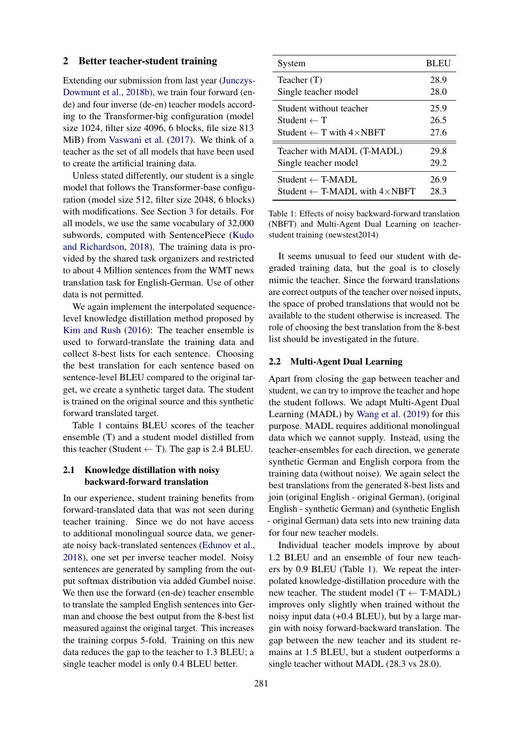### 2 Better teacher-student training

Extending our submission from last year [\(Junczys-](#page-8-2)[Dowmunt et al.,](#page-8-2) [2018b\)](#page-8-2), we train four forward (ende) and four inverse (de-en) teacher models according to the Transformer-big configuration (model size 1024, filter size 4096, 6 blocks, file size 813 MiB) from [Vaswani et al.](#page-8-4) [\(2017\)](#page-8-4). We think of a teacher as the set of all models that have been used to create the artificial training data.

Unless stated differently, our student is a single model that follows the Transformer-base configuration (model size 512, filter size 2048, 6 blocks) with modifications. See Section [3](#page-2-0) for details. For all models, we use the same vocabulary of 32,000 subwords, computed with SentencePiece [\(Kudo](#page-8-5) [and Richardson,](#page-8-5) [2018\)](#page-8-5). The training data is provided by the shared task organizers and restricted to about 4 Million sentences from the WMT news translation task for English-German. Use of other data is not permitted.

We again implement the interpolated sequencelevel knowledge distillation method proposed by [Kim and Rush](#page-8-6) [\(2016\)](#page-8-6): The teacher ensemble is used to forward-translate the training data and collect 8-best lists for each sentence. Choosing the best translation for each sentence based on sentence-level BLEU compared to the original target, we create a synthetic target data. The student is trained on the original source and this synthetic forward translated target.

Table [1](#page-1-0) contains BLEU scores of the teacher ensemble (T) and a student model distilled from this teacher (Student  $\leftarrow$  T). The gap is 2.4 BLEU.

### 2.1 Knowledge distillation with noisy backward-forward translation

In our experience, student training benefits from forward-translated data that was not seen during teacher training. Since we do not have access to additional monolingual source data, we generate noisy back-translated sentences [\(Edunov et al.,](#page-8-7) [2018\)](#page-8-7), one set per inverse teacher model. Noisy sentences are generated by sampling from the output softmax distribution via added Gumbel noise. We then use the forward (en-de) teacher ensemble to translate the sampled English sentences into German and choose the best output from the 8-best list measured against the original target. This increases the training corpus 5-fold. Training on this new data reduces the gap to the teacher to 1.3 BLEU; a single teacher model is only 0.4 BLEU better.

<span id="page-1-0"></span>

| System                                           | <b>BLEU</b> |
|--------------------------------------------------|-------------|
| Teacher $(T)$                                    | 28.9        |
| Single teacher model                             | 28.0        |
| Student without teacher                          | 25.9        |
| Student $\leftarrow$ T                           | 26.5        |
| Student $\leftarrow$ T with $4 \times$ NBFT      | 27.6        |
| Teacher with MADL (T-MADL)                       | 29.8        |
| Single teacher model                             | 29.2        |
| $Student \leftarrow T\text{-}MADI$ .             | 26.9        |
| Student $\leftarrow$ T-MADL with $4 \times$ NBFT | 28.3        |

Table 1: Effects of noisy backward-forward translation (NBFT) and Multi-Agent Dual Learning on teacherstudent training (newstest2014)

It seems unusual to feed our student with degraded training data, but the goal is to closely mimic the teacher. Since the forward translations are correct outputs of the teacher over noised inputs, the space of probed translations that would not be available to the student otherwise is increased. The role of choosing the best translation from the 8-best list should be investigated in the future.

### 2.2 Multi-Agent Dual Learning

Apart from closing the gap between teacher and student, we can try to improve the teacher and hope the student follows. We adapt Multi-Agent Dual Learning (MADL) by [Wang et al.](#page-8-8) [\(2019\)](#page-8-8) for this purpose. MADL requires additional monolingual data which we cannot supply. Instead, using the teacher-ensembles for each direction, we generate synthetic German and English corpora from the training data (without noise). We again select the best translations from the generated 8-best lists and join (original English - original German), (original English - synthetic German) and (synthetic English - original German) data sets into new training data for four new teacher models.

Individual teacher models improve by about 1.2 BLEU and an ensemble of four new teachers by 0.9 BLEU (Table [1\)](#page-1-0). We repeat the interpolated knowledge-distillation procedure with the new teacher. The student model  $(T \leftarrow T\text{-MADL})$ improves only slightly when trained without the noisy input data (+0.4 BLEU), but by a large margin with noisy forward-backward translation. The gap between the new teacher and its student remains at 1.5 BLEU, but a student outperforms a single teacher without MADL (28.3 vs 28.0).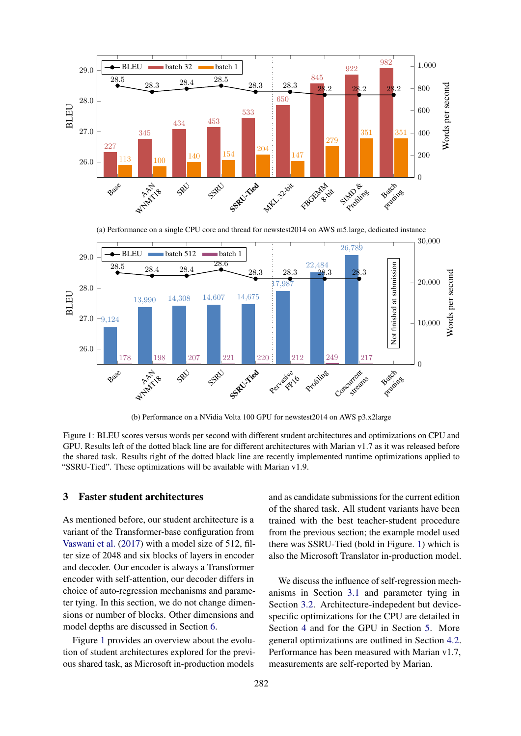<span id="page-2-1"></span>

(a) Performance on a single CPU core and thread for newstest2014 on AWS m5.large, dedicated instance



(b) Performance on a NVidia Volta 100 GPU for newstest2014 on AWS p3.x2large

Figure 1: BLEU scores versus words per second with different student architectures and optimizations on CPU and GPU. Results left of the dotted black line are for different architectures with Marian v1.7 as it was released before the shared task. Results right of the dotted black line are recently implemented runtime optimizations applied to "SSRU-Tied". These optimizations will be available with Marian v1.9.

### <span id="page-2-0"></span>3 Faster student architectures

As mentioned before, our student architecture is a variant of the Transformer-base configuration from [Vaswani et al.](#page-8-4) [\(2017\)](#page-8-4) with a model size of 512, filter size of 2048 and six blocks of layers in encoder and decoder. Our encoder is always a Transformer encoder with self-attention, our decoder differs in choice of auto-regression mechanisms and parameter tying. In this section, we do not change dimensions or number of blocks. Other dimensions and model depths are discussed in Section [6.](#page-5-0)

Figure [1](#page-2-1) provides an overview about the evolution of student architectures explored for the previous shared task, as Microsoft in-production models

and as candidate submissions for the current edition of the shared task. All student variants have been trained with the best teacher-student procedure from the previous section; the example model used there was SSRU-Tied (bold in Figure. [1\)](#page-2-1) which is also the Microsoft Translator in-production model.

We discuss the influence of self-regression mechanisms in Section [3.1](#page-3-0) and parameter tying in Section [3.2.](#page-3-1) Architecture-indepedent but devicespecific optimizations for the CPU are detailed in Section [4](#page-4-0) and for the GPU in Section [5.](#page-5-1) More general optimizations are outlined in Section [4.2.](#page-4-1) Performance has been measured with Marian v1.7, measurements are self-reported by Marian.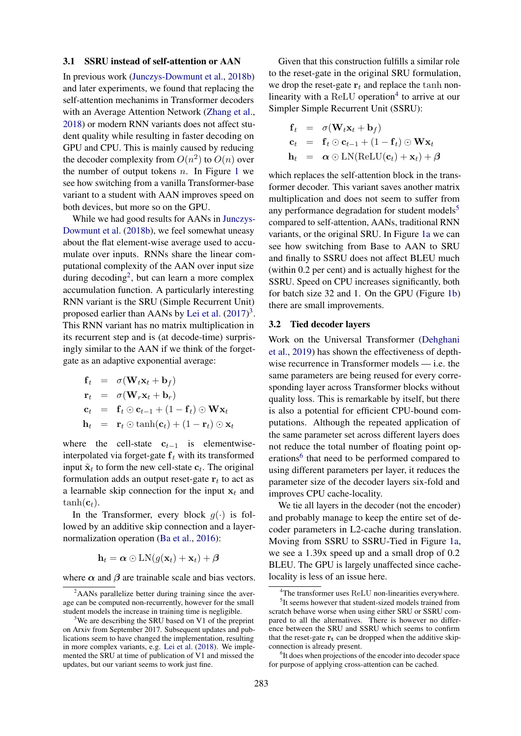#### <span id="page-3-0"></span>3.1 SSRU instead of self-attention or AAN

In previous work [\(Junczys-Dowmunt et al.,](#page-8-2) [2018b\)](#page-8-2) and later experiments, we found that replacing the self-attention mechanims in Transformer decoders with an Average Attention Network [\(Zhang et al.,](#page-8-9) [2018\)](#page-8-9) or modern RNN variants does not affect student quality while resulting in faster decoding on GPU and CPU. This is mainly caused by reducing the decoder complexity from  $O(n^2)$  to  $O(n)$  over the number of output tokens  $n$ . In Figure [1](#page-2-1) we see how switching from a vanilla Transformer-base variant to a student with AAN improves speed on both devices, but more so on the GPU.

While we had good results for AANs in [Junczys-](#page-8-2)[Dowmunt et al.](#page-8-2) [\(2018b\)](#page-8-2), we feel somewhat uneasy about the flat element-wise average used to accumulate over inputs. RNNs share the linear computational complexity of the AAN over input size during decoding<sup>[2](#page-3-2)</sup>, but can learn a more complex accumulation function. A particularly interesting RNN variant is the SRU (Simple Recurrent Unit) proposed earlier than AANs by [Lei et al.](#page-8-10)  $(2017)^3$  $(2017)^3$  $(2017)^3$ . This RNN variant has no matrix multiplication in its recurrent step and is (at decode-time) surprisingly similar to the AAN if we think of the forgetgate as an adaptive exponential average:

$$
\begin{array}{rcl}\n\mathbf{f}_t &=& \sigma(\mathbf{W}_t \mathbf{x}_t + \mathbf{b}_f) \\
\mathbf{r}_t &=& \sigma(\mathbf{W}_r \mathbf{x}_t + \mathbf{b}_r) \\
\mathbf{c}_t &=& \mathbf{f}_t \odot \mathbf{c}_{t-1} + (1 - \mathbf{f}_t) \odot \mathbf{W} \mathbf{x}_t \\
\mathbf{h}_t &=& \mathbf{r}_t \odot \tanh(\mathbf{c}_t) + (1 - \mathbf{r}_t) \odot \mathbf{x}_t\n\end{array}
$$

where the cell-state  $c_{t-1}$  is elementwiseinterpolated via forget-gate  $f_t$  with its transformed input  $\tilde{\mathbf{x}}_t$  to form the new cell-state  $\mathbf{c}_t$ . The original formulation adds an output reset-gate  $r_t$  to act as a learnable skip connection for the input  $x_t$  and  $tanh(\mathbf{c}_t)$ .

In the Transformer, every block  $g(\cdot)$  is followed by an additive skip connection and a layernormalization operation [\(Ba et al.,](#page-8-11) [2016\)](#page-8-11):

$$
\mathbf{h}_t = \boldsymbol{\alpha} \odot \mathrm{LN}(g(\mathbf{x}_t) + \mathbf{x}_t) + \boldsymbol{\beta}
$$

where  $\alpha$  and  $\beta$  are trainable scale and bias vectors.

Given that this construction fulfills a similar role to the reset-gate in the original SRU formulation, we drop the reset-gate  $r_t$  and replace the tanh non-linearity with a ReLU operation<sup>[4](#page-3-4)</sup> to arrive at our Simpler Simple Recurrent Unit (SSRU):

$$
\begin{aligned}\n\mathbf{f}_t &= \sigma(\mathbf{W}_t \mathbf{x}_t + \mathbf{b}_f) \\
\mathbf{c}_t &= \mathbf{f}_t \odot \mathbf{c}_{t-1} + (1 - \mathbf{f}_t) \odot \mathbf{W} \mathbf{x}_t \\
\mathbf{h}_t &= \alpha \odot \text{LN}(\text{ReLU}(\mathbf{c}_t) + \mathbf{x}_t) + \beta\n\end{aligned}
$$

which replaces the self-attention block in the transformer decoder. This variant saves another matrix multiplication and does not seem to suffer from any performance degradation for student models<sup>[5](#page-3-5)</sup> compared to self-attention, AANs, traditional RNN variants, or the original SRU. In Figure [1a](#page-2-1) we can see how switching from Base to AAN to SRU and finally to SSRU does not affect BLEU much (within 0.2 per cent) and is actually highest for the SSRU. Speed on CPU increases significantly, both for batch size 32 and 1. On the GPU (Figure [1b\)](#page-2-1) there are small improvements.

### <span id="page-3-1"></span>3.2 Tied decoder layers

Work on the Universal Transformer [\(Dehghani](#page-8-13) [et al.,](#page-8-13) [2019\)](#page-8-13) has shown the effectiveness of depthwise recurrence in Transformer models — i.e. the same parameters are being reused for every corresponding layer across Transformer blocks without quality loss. This is remarkable by itself, but there is also a potential for efficient CPU-bound computations. Although the repeated application of the same parameter set across different layers does not reduce the total number of floating point op-erations<sup>[6](#page-3-6)</sup> that need to be performed compared to using different parameters per layer, it reduces the parameter size of the decoder layers six-fold and improves CPU cache-locality.

We tie all layers in the decoder (not the encoder) and probably manage to keep the entire set of decoder parameters in L2-cache during translation. Moving from SSRU to SSRU-Tied in Figure [1a,](#page-2-1) we see a 1.39x speed up and a small drop of 0.2 BLEU. The GPU is largely unaffected since cachelocality is less of an issue here.

<span id="page-3-2"></span> $2$ AANs parallelize better during training since the average can be computed non-recurrently, however for the small student models the increase in training time is negligible.

<span id="page-3-3"></span> $3$ We are describing the SRU based on V1 of the preprint on Arxiv from September 2017. Subsequent updates and publications seem to have changed the implementation, resulting in more complex variants, e.g. [Lei et al.](#page-8-12) [\(2018\)](#page-8-12). We implemented the SRU at time of publication of V1 and missed the updates, but our variant seems to work just fine.

<span id="page-3-5"></span><span id="page-3-4"></span><sup>&</sup>lt;sup>4</sup>The transformer uses ReLU non-linearities everywhere. <sup>5</sup>It seems however that student-sized models trained from

scratch behave worse when using either SRU or SSRU compared to all the alternatives. There is however no difference between the SRU and SSRU which seems to confirm that the reset-gate  $r_t$  can be dropped when the additive skipconnection is already present.

<span id="page-3-6"></span><sup>&</sup>lt;sup>6</sup>It does when projections of the encoder into decoder space for purpose of applying cross-attention can be cached.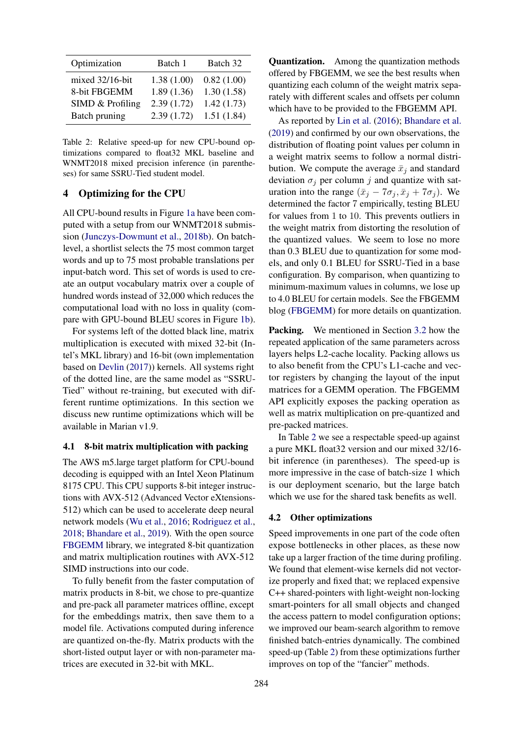<span id="page-4-2"></span>

| Optimization     | Batch 1    | Batch 32   |
|------------------|------------|------------|
| mixed 32/16-bit  | 1.38(1.00) | 0.82(1.00) |
| 8-bit FBGEMM     | 1.89(1.36) | 1.30(1.58) |
| SIMD & Profiling | 2.39(1.72) | 1.42(1.73) |
| Batch pruning    | 2.39(1.72) | 1.51(1.84) |

Table 2: Relative speed-up for new CPU-bound optimizations compared to float32 MKL baseline and WNMT2018 mixed precision inference (in parentheses) for same SSRU-Tied student model.

### <span id="page-4-0"></span>4 Optimizing for the CPU

All CPU-bound results in Figure [1a](#page-2-1) have been computed with a setup from our WNMT2018 submission [\(Junczys-Dowmunt et al.,](#page-8-2) [2018b\)](#page-8-2). On batchlevel, a shortlist selects the 75 most common target words and up to 75 most probable translations per input-batch word. This set of words is used to create an output vocabulary matrix over a couple of hundred words instead of 32,000 which reduces the computational load with no loss in quality (compare with GPU-bound BLEU scores in Figure [1b\)](#page-2-1).

For systems left of the dotted black line, matrix multiplication is executed with mixed 32-bit (Intel's MKL library) and 16-bit (own implementation based on [Devlin](#page-8-14) [\(2017\)](#page-8-14)) kernels. All systems right of the dotted line, are the same model as "SSRU-Tied" without re-training, but executed with different runtime optimizations. In this section we discuss new runtime optimizations which will be available in Marian v1.9.

### 4.1 8-bit matrix multiplication with packing

The AWS m5.large target platform for CPU-bound decoding is equipped with an Intel Xeon Platinum 8175 CPU. This CPU supports 8-bit integer instructions with AVX-512 (Advanced Vector eXtensions-512) which can be used to accelerate deep neural network models [\(Wu et al.,](#page-8-15) [2016;](#page-8-15) [Rodriguez et al.,](#page-8-16) [2018;](#page-8-16) [Bhandare et al.,](#page-8-17) [2019\)](#page-8-17). With the open source [FBGEMM](#page-8-18) library, we integrated 8-bit quantization and matrix multiplication routines with AVX-512 SIMD instructions into our code.

To fully benefit from the faster computation of matrix products in 8-bit, we chose to pre-quantize and pre-pack all parameter matrices offline, except for the embeddings matrix, then save them to a model file. Activations computed during inference are quantized on-the-fly. Matrix products with the short-listed output layer or with non-parameter matrices are executed in 32-bit with MKL.

Quantization. Among the quantization methods offered by FBGEMM, we see the best results when quantizing each column of the weight matrix separately with different scales and offsets per column which have to be provided to the FBGEMM API.

As reported by [Lin et al.](#page-8-19) [\(2016\)](#page-8-19); [Bhandare et al.](#page-8-17) [\(2019\)](#page-8-17) and confirmed by our own observations, the distribution of floating point values per column in a weight matrix seems to follow a normal distribution. We compute the average  $\bar{x}_i$  and standard deviation  $\sigma_i$  per column j and quantize with saturation into the range  $(\bar{x}_i - 7\sigma_i, \bar{x}_i + 7\sigma_i)$ . We determined the factor 7 empirically, testing BLEU for values from 1 to 10. This prevents outliers in the weight matrix from distorting the resolution of the quantized values. We seem to lose no more than 0.3 BLEU due to quantization for some models, and only 0.1 BLEU for SSRU-Tied in a base configuration. By comparison, when quantizing to minimum-maximum values in columns, we lose up to 4.0 BLEU for certain models. See the FBGEMM blog [\(FBGEMM\)](#page-8-18) for more details on quantization.

Packing. We mentioned in Section [3.2](#page-3-1) how the repeated application of the same parameters across layers helps L2-cache locality. Packing allows us to also benefit from the CPU's L1-cache and vector registers by changing the layout of the input matrices for a GEMM operation. The FBGEMM API explicitly exposes the packing operation as well as matrix multiplication on pre-quantized and pre-packed matrices.

In Table [2](#page-4-2) we see a respectable speed-up against a pure MKL float32 version and our mixed 32/16 bit inference (in parentheses). The speed-up is more impressive in the case of batch-size 1 which is our deployment scenario, but the large batch which we use for the shared task benefits as well.

#### <span id="page-4-1"></span>4.2 Other optimizations

Speed improvements in one part of the code often expose bottlenecks in other places, as these now take up a larger fraction of the time during profiling. We found that element-wise kernels did not vectorize properly and fixed that; we replaced expensive C++ shared-pointers with light-weight non-locking smart-pointers for all small objects and changed the access pattern to model configuration options; we improved our beam-search algorithm to remove finished batch-entries dynamically. The combined speed-up (Table [2\)](#page-4-2) from these optimizations further improves on top of the "fancier" methods.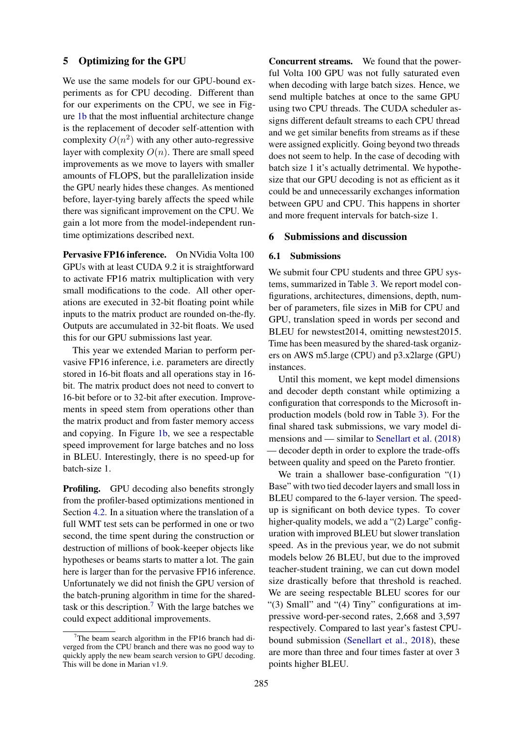### <span id="page-5-1"></span>5 Optimizing for the GPU

We use the same models for our GPU-bound experiments as for CPU decoding. Different than for our experiments on the CPU, we see in Figure [1b](#page-2-1) that the most influential architecture change is the replacement of decoder self-attention with complexity  $O(n^2)$  with any other auto-regressive layer with complexity  $O(n)$ . There are small speed improvements as we move to layers with smaller amounts of FLOPS, but the parallelization inside the GPU nearly hides these changes. As mentioned before, layer-tying barely affects the speed while there was significant improvement on the CPU. We gain a lot more from the model-independent runtime optimizations described next.

Pervasive FP16 inference. On NVidia Volta 100 GPUs with at least CUDA 9.2 it is straightforward to activate FP16 matrix multiplication with very small modifications to the code. All other operations are executed in 32-bit floating point while inputs to the matrix product are rounded on-the-fly. Outputs are accumulated in 32-bit floats. We used this for our GPU submissions last year.

This year we extended Marian to perform pervasive FP16 inference, i.e. parameters are directly stored in 16-bit floats and all operations stay in 16 bit. The matrix product does not need to convert to 16-bit before or to 32-bit after execution. Improvements in speed stem from operations other than the matrix product and from faster memory access and copying. In Figure [1b,](#page-2-1) we see a respectable speed improvement for large batches and no loss in BLEU. Interestingly, there is no speed-up for batch-size 1.

Profiling. GPU decoding also benefits strongly from the profiler-based optimizations mentioned in Section [4.2.](#page-4-1) In a situation where the translation of a full WMT test sets can be performed in one or two second, the time spent during the construction or destruction of millions of book-keeper objects like hypotheses or beams starts to matter a lot. The gain here is larger than for the pervasive FP16 inference. Unfortunately we did not finish the GPU version of the batch-pruning algorithm in time for the sharedtask or this description.[7](#page-5-2) With the large batches we could expect additional improvements.

Concurrent streams. We found that the powerful Volta 100 GPU was not fully saturated even when decoding with large batch sizes. Hence, we send multiple batches at once to the same GPU using two CPU threads. The CUDA scheduler assigns different default streams to each CPU thread and we get similar benefits from streams as if these were assigned explicitly. Going beyond two threads does not seem to help. In the case of decoding with batch size 1 it's actually detrimental. We hypothesize that our GPU decoding is not as efficient as it could be and unnecessarily exchanges information between GPU and CPU. This happens in shorter and more frequent intervals for batch-size 1.

#### <span id="page-5-0"></span>6 Submissions and discussion

### 6.1 Submissions

We submit four CPU students and three GPU systems, summarized in Table [3.](#page-6-0) We report model configurations, architectures, dimensions, depth, number of parameters, file sizes in MiB for CPU and GPU, translation speed in words per second and BLEU for newstest2014, omitting newstest2015. Time has been measured by the shared-task organizers on AWS m5.large (CPU) and p3.x2large (GPU) instances.

Until this moment, we kept model dimensions and decoder depth constant while optimizing a configuration that corresponds to the Microsoft inproduction models (bold row in Table [3\)](#page-6-0). For the final shared task submissions, we vary model dimensions and — similar to [Senellart et al.](#page-8-20) [\(2018\)](#page-8-20) — decoder depth in order to explore the trade-offs between quality and speed on the Pareto frontier.

We train a shallower base-configuration "(1) Base" with two tied decoder layers and small loss in BLEU compared to the 6-layer version. The speedup is significant on both device types. To cover higher-quality models, we add a "(2) Large" configuration with improved BLEU but slower translation speed. As in the previous year, we do not submit models below 26 BLEU, but due to the improved teacher-student training, we can cut down model size drastically before that threshold is reached. We are seeing respectable BLEU scores for our "(3) Small" and "(4) Tiny" configurations at impressive word-per-second rates, 2,668 and 3,597 respectively. Compared to last year's fastest CPUbound submission [\(Senellart et al.,](#page-8-20) [2018\)](#page-8-20), these are more than three and four times faster at over 3 points higher BLEU.

<span id="page-5-2"></span> $7$ The beam search algorithm in the FP16 branch had diverged from the CPU branch and there was no good way to quickly apply the new beam search version to GPU decoding. This will be done in Marian v1.9.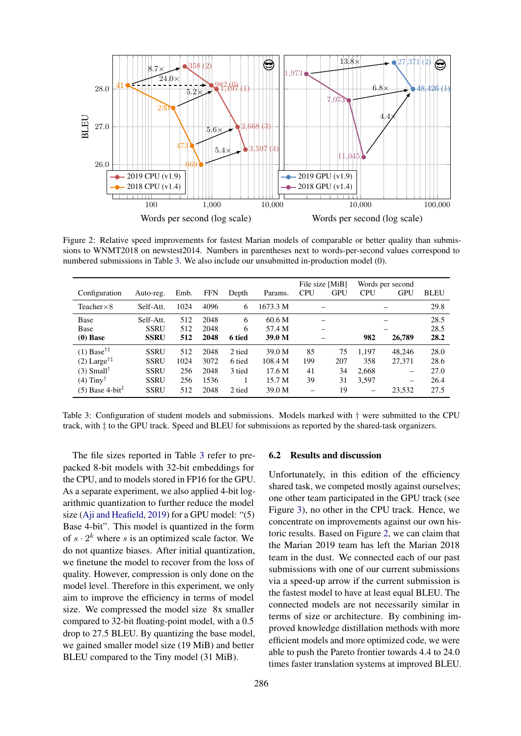<span id="page-6-1"></span>

Figure 2: Relative speed improvements for fastest Marian models of comparable or better quality than submissions to WNMT2018 on newstest2014. Numbers in parentheses next to words-per-second values correspond to numbered submissions in Table [3.](#page-6-0) We also include our unsubmitted in-production model (0).

<span id="page-6-0"></span>

| Configuration                                                                                                                                 | Auto-reg.                                                               | Emb.                             | <b>FFN</b>                           | Depth                                | Params.                                         | File size [MiB]<br><b>CPU</b> | <b>GPU</b>                  | <b>CPU</b>                     | Words per second<br><b>GPU</b>  | <b>BLEU</b>                          |
|-----------------------------------------------------------------------------------------------------------------------------------------------|-------------------------------------------------------------------------|----------------------------------|--------------------------------------|--------------------------------------|-------------------------------------------------|-------------------------------|-----------------------------|--------------------------------|---------------------------------|--------------------------------------|
| Teacher $\times 8$                                                                                                                            | Self-Att.                                                               | 1024                             | 4096                                 | 6                                    | 1673.3 M                                        |                               |                             |                                |                                 | 29.8                                 |
| Base<br>Base<br>$(0)$ Base                                                                                                                    | Self-Att.<br><b>SSRU</b><br><b>SSRU</b>                                 | 512<br>512<br>512                | 2048<br>2048<br>2048                 | 6<br>6<br>6 tied                     | 60.6 M<br>57.4 M<br>39.0 M                      |                               |                             | 982<br>26,789                  |                                 | 28.5<br>28.5<br>28.2                 |
| $(1)$ Base <sup>†‡</sup><br>$(2)$ Large <sup>†‡</sup><br>$(3)$ Small <sup>†</sup><br>$(4)$ Tiny <sup>†</sup><br>$(5)$ Base 4-bit <sup>1</sup> | <b>SSRU</b><br><b>SSRU</b><br><b>SSRU</b><br><b>SSRU</b><br><b>SSRU</b> | 512<br>1024<br>256<br>256<br>512 | 2048<br>3072<br>2048<br>1536<br>2048 | 2 tied<br>6 tied<br>3 tied<br>2 tied | 39.0 M<br>108.4 M<br>17.6 M<br>15.7 M<br>39.0 M | 85<br>199<br>41<br>39         | 75<br>207<br>34<br>31<br>19 | 1.197<br>358<br>2.668<br>3,597 | 48.246<br>27,371<br>-<br>23,532 | 28.0<br>28.6<br>27.0<br>26.4<br>27.5 |

Table 3: Configuration of student models and submissions. Models marked with † were submitted to the CPU track, with ‡ to the GPU track. Speed and BLEU for submissions as reported by the shared-task organizers.

The file sizes reported in Table [3](#page-6-0) refer to prepacked 8-bit models with 32-bit embeddings for the CPU, and to models stored in FP16 for the GPU. As a separate experiment, we also applied 4-bit logarithmic quantization to further reduce the model size [\(Aji and Heafield,](#page-8-21) [2019\)](#page-8-21) for a GPU model: "(5) Base 4-bit". This model is quantized in the form of  $s \cdot 2^k$  where s is an optimized scale factor. We do not quantize biases. After initial quantization, we finetune the model to recover from the loss of quality. However, compression is only done on the model level. Therefore in this experiment, we only aim to improve the efficiency in terms of model size. We compressed the model size 8x smaller compared to 32-bit floating-point model, with a 0.5 drop to 27.5 BLEU. By quantizing the base model, we gained smaller model size (19 MiB) and better BLEU compared to the Tiny model (31 MiB).

#### 6.2 Results and discussion

Unfortunately, in this edition of the efficiency shared task, we competed mostly against ourselves; one other team participated in the GPU track (see Figure [3\)](#page-7-0), no other in the CPU track. Hence, we concentrate on improvements against our own historic results. Based on Figure [2,](#page-6-1) we can claim that the Marian 2019 team has left the Marian 2018 team in the dust. We connected each of our past submissions with one of our current submissions via a speed-up arrow if the current submission is the fastest model to have at least equal BLEU. The connected models are not necessarily similar in terms of size or architecture. By combining improved knowledge distillation methods with more efficient models and more optimized code, we were able to push the Pareto frontier towards 4.4 to 24.0 times faster translation systems at improved BLEU.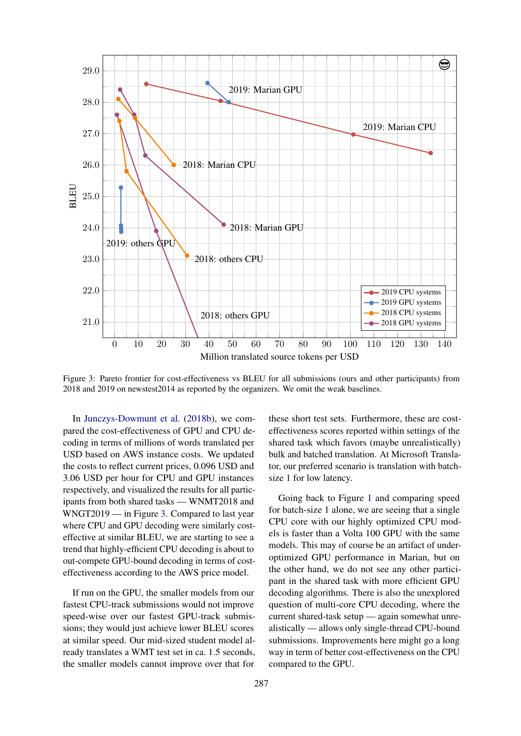<span id="page-7-0"></span>

Figure 3: Pareto frontier for cost-effectiveness vs BLEU for all submissions (ours and other participants) from 2018 and 2019 on newstest2014 as reported by the organizers. We omit the weak baselines.

In [Junczys-Dowmunt et al.](#page-8-2) [\(2018b\)](#page-8-2), we compared the cost-effectiveness of GPU and CPU decoding in terms of millions of words translated per USD based on AWS instance costs. We updated the costs to reflect current prices, 0.096 USD and 3.06 USD per hour for CPU and GPU instances respectively, and visualized the results for all participants from both shared tasks — WNMT2018 and WNGT2019 — in Figure [3.](#page-7-0) Compared to last year where CPU and GPU decoding were similarly costeffective at similar BLEU, we are starting to see a trend that highly-efficient CPU decoding is about to out-compete GPU-bound decoding in terms of costeffectiveness according to the AWS price model.

If run on the GPU, the smaller models from our fastest CPU-track submissions would not improve speed-wise over our fastest GPU-track submissions; they would just achieve lower BLEU scores at similar speed. Our mid-sized student model already translates a WMT test set in ca. 1.5 seconds, the smaller models cannot improve over that for these short test sets. Furthermore, these are costeffectiveness scores reported within settings of the shared task which favors (maybe unrealistically) bulk and batched translation. At Microsoft Translator, our preferred scenario is translation with batchsize 1 for low latency.

Going back to Figure [1](#page-2-1) and comparing speed for batch-size 1 alone, we are seeing that a single CPU core with our highly optimized CPU models is faster than a Volta 100 GPU with the same models. This may of course be an artifact of underoptimized GPU performance in Marian, but on the other hand, we do not see any other participant in the shared task with more efficient GPU decoding algorithms. There is also the unexplored question of multi-core CPU decoding, where the current shared-task setup — again somewhat unrealistically — allows only single-thread CPU-bound submissions. Improvements here might go a long way in term of better cost-effectiveness on the CPU compared to the GPU.